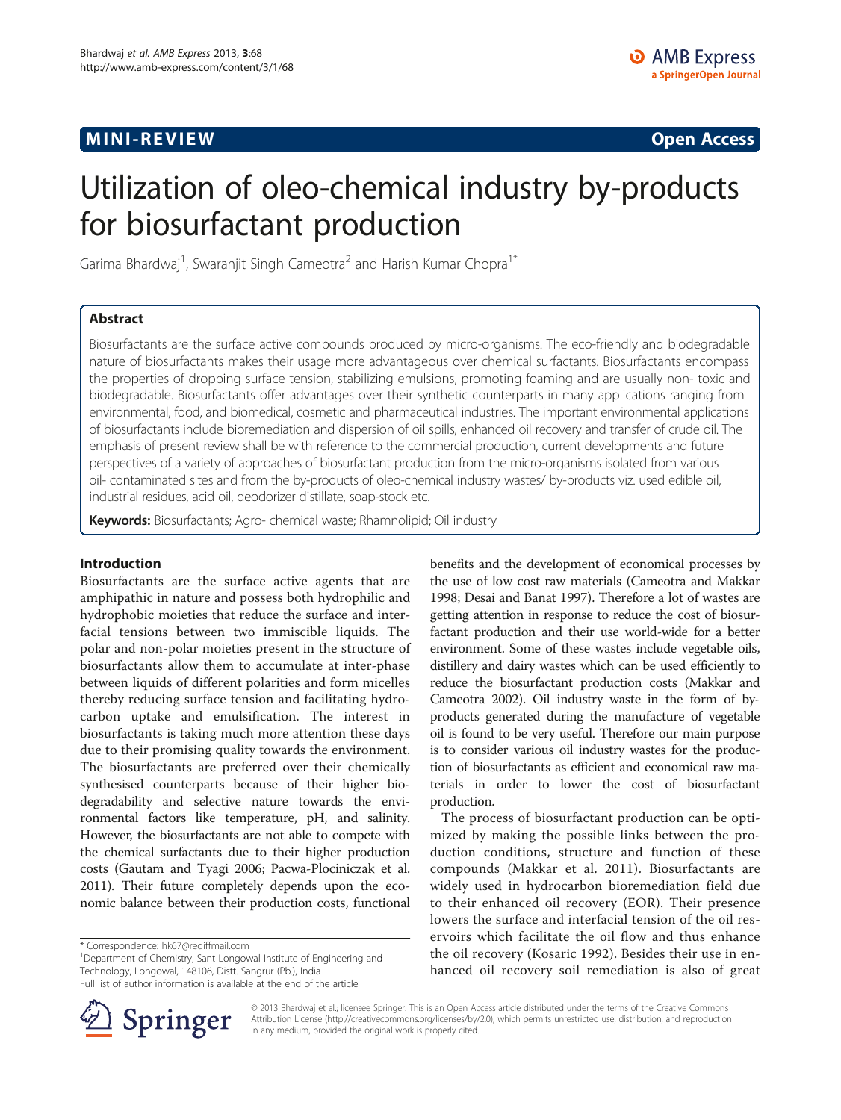## **MINI-REVIEW CONSULTATION CONSULTATION CONSULTATION CONSULTATION CONSULTATION CONSULTATION CONSULTATION CONSULTATION**

# Utilization of oleo-chemical industry by-products for biosurfactant production

Garima Bhardwaj<sup>1</sup>, Swaranjit Singh Cameotra<sup>2</sup> and Harish Kumar Chopra<sup>1\*</sup>

## Abstract

Biosurfactants are the surface active compounds produced by micro-organisms. The eco-friendly and biodegradable nature of biosurfactants makes their usage more advantageous over chemical surfactants. Biosurfactants encompass the properties of dropping surface tension, stabilizing emulsions, promoting foaming and are usually non- toxic and biodegradable. Biosurfactants offer advantages over their synthetic counterparts in many applications ranging from environmental, food, and biomedical, cosmetic and pharmaceutical industries. The important environmental applications of biosurfactants include bioremediation and dispersion of oil spills, enhanced oil recovery and transfer of crude oil. The emphasis of present review shall be with reference to the commercial production, current developments and future perspectives of a variety of approaches of biosurfactant production from the micro-organisms isolated from various oil- contaminated sites and from the by-products of oleo-chemical industry wastes/ by-products viz. used edible oil, industrial residues, acid oil, deodorizer distillate, soap-stock etc.

Keywords: Biosurfactants; Agro- chemical waste; Rhamnolipid; Oil industry

## Introduction

Biosurfactants are the surface active agents that are amphipathic in nature and possess both hydrophilic and hydrophobic moieties that reduce the surface and interfacial tensions between two immiscible liquids. The polar and non-polar moieties present in the structure of biosurfactants allow them to accumulate at inter-phase between liquids of different polarities and form micelles thereby reducing surface tension and facilitating hydrocarbon uptake and emulsification. The interest in biosurfactants is taking much more attention these days due to their promising quality towards the environment. The biosurfactants are preferred over their chemically synthesised counterparts because of their higher biodegradability and selective nature towards the environmental factors like temperature, pH, and salinity. However, the biosurfactants are not able to compete with the chemical surfactants due to their higher production costs (Gautam and Tyagi [2006](#page-4-0); Pacwa-Plociniczak et al. [2011\)](#page-4-0). Their future completely depends upon the economic balance between their production costs, functional

<sup>1</sup>Department of Chemistry, Sant Longowal Institute of Engineering and Technology, Longowal, 148106, Distt. Sangrur (Pb.), India

Full list of author information is available at the end of the article



benefits and the development of economical processes by the use of low cost raw materials (Cameotra and Makkar [1998](#page-4-0); Desai and Banat [1997](#page-4-0)). Therefore a lot of wastes are getting attention in response to reduce the cost of biosurfactant production and their use world-wide for a better environment. Some of these wastes include vegetable oils, distillery and dairy wastes which can be used efficiently to reduce the biosurfactant production costs (Makkar and Cameotra [2002](#page-4-0)). Oil industry waste in the form of byproducts generated during the manufacture of vegetable oil is found to be very useful. Therefore our main purpose is to consider various oil industry wastes for the production of biosurfactants as efficient and economical raw materials in order to lower the cost of biosurfactant production.

The process of biosurfactant production can be optimized by making the possible links between the production conditions, structure and function of these compounds (Makkar et al. [2011\)](#page-4-0). Biosurfactants are widely used in hydrocarbon bioremediation field due to their enhanced oil recovery (EOR). Their presence lowers the surface and interfacial tension of the oil reservoirs which facilitate the oil flow and thus enhance the oil recovery (Kosaric [1992\)](#page-4-0). Besides their use in enhanced oil recovery soil remediation is also of great

© 2013 Bhardwaj et al.; licensee Springer. This is an Open Access article distributed under the terms of the Creative Commons Attribution License [\(http://creativecommons.org/licenses/by/2.0\)](http://creativecommons.org/licenses/by/2.0), which permits unrestricted use, distribution, and reproduction in any medium, provided the original work is properly cited.

<sup>\*</sup> Correspondence: [hk67@rediffmail.com](mailto:hk67@rediffmail.com) <sup>1</sup>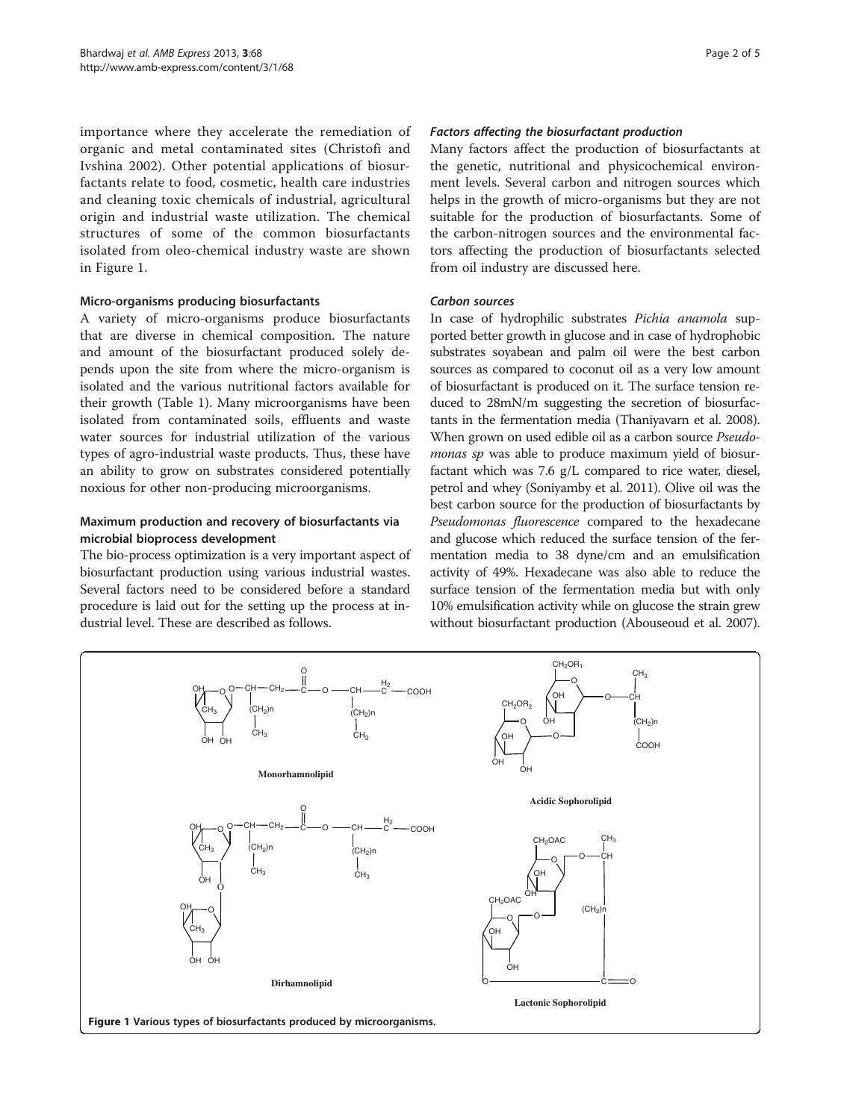importance where they accelerate the remediation of organic and metal contaminated sites (Christofi and Ivshina [2002\)](#page-4-0). Other potential applications of biosurfactants relate to food, cosmetic, health care industries and cleaning toxic chemicals of industrial, agricultural origin and industrial waste utilization. The chemical structures of some of the common biosurfactants isolated from oleo-chemical industry waste are shown in Figure 1.

## Micro-organisms producing biosurfactants

A variety of micro-organisms produce biosurfactants that are diverse in chemical composition. The nature and amount of the biosurfactant produced solely depends upon the site from where the micro-organism is isolated and the various nutritional factors available for their growth (Table [1](#page-2-0)). Many microorganisms have been isolated from contaminated soils, effluents and waste water sources for industrial utilization of the various types of agro-industrial waste products. Thus, these have an ability to grow on substrates considered potentially noxious for other non-producing microorganisms.

## Maximum production and recovery of biosurfactants via microbial bioprocess development

The bio-process optimization is a very important aspect of biosurfactant production using various industrial wastes. Several factors need to be considered before a standard procedure is laid out for the setting up the process at industrial level. These are described as follows.

### Factors affecting the biosurfactant production

Many factors affect the production of biosurfactants at the genetic, nutritional and physicochemical environment levels. Several carbon and nitrogen sources which helps in the growth of micro-organisms but they are not suitable for the production of biosurfactants. Some of the carbon-nitrogen sources and the environmental factors affecting the production of biosurfactants selected from oil industry are discussed here.

### Carbon sources

In case of hydrophilic substrates Pichia anamola supported better growth in glucose and in case of hydrophobic substrates soyabean and palm oil were the best carbon sources as compared to coconut oil as a very low amount of biosurfactant is produced on it. The surface tension reduced to 28mN/m suggesting the secretion of biosurfactants in the fermentation media (Thaniyavarn et al. [2008](#page-4-0)). When grown on used edible oil as a carbon source Pseudomonas sp was able to produce maximum yield of biosurfactant which was 7.6 g/L compared to rice water, diesel, petrol and whey (Soniyamby et al. [2011\)](#page-4-0). Olive oil was the best carbon source for the production of biosurfactants by Pseudomonas fluorescence compared to the hexadecane and glucose which reduced the surface tension of the fermentation media to 38 dyne/cm and an emulsification activity of 49%. Hexadecane was also able to reduce the surface tension of the fermentation media but with only 10% emulsification activity while on glucose the strain grew without biosurfactant production (Abouseoud et al. [2007](#page-4-0)).

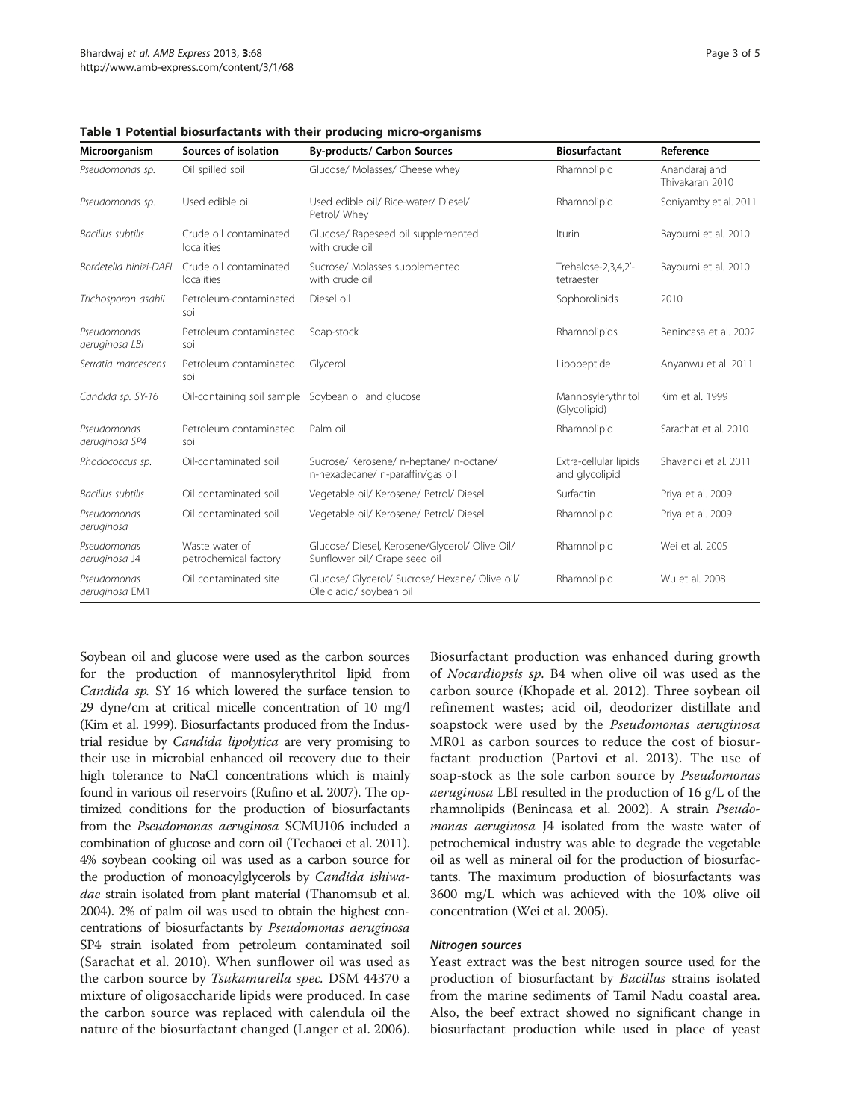| Microorganism                 | Sources of isolation                               | <b>By-products/ Carbon Sources</b>                                              | <b>Biosurfactant</b>                    | Reference                        |
|-------------------------------|----------------------------------------------------|---------------------------------------------------------------------------------|-----------------------------------------|----------------------------------|
| Pseudomonas sp.               | Oil spilled soil                                   | Glucose/ Molasses/ Cheese whey                                                  | Rhamnolipid                             | Anandaraj and<br>Thivakaran 2010 |
| Pseudomonas sp.               | Used edible oil                                    | Used edible oil/ Rice-water/ Diesel/<br>Petrol/ Whey                            | Rhamnolipid                             | Soniyamby et al. 2011            |
| <b>Bacillus</b> subtilis      | Crude oil contaminated<br>localities               | Glucose/ Rapeseed oil supplemented<br>with crude oil                            | Iturin                                  | Bayoumi et al. 2010              |
| Bordetella hinizi-DAFI        | Crude oil contaminated<br>localities               | Sucrose/ Molasses supplemented<br>with crude oil                                | Trehalose-2,3,4,2'-<br>tetraester       | Bayoumi et al. 2010              |
| Trichosporon asahii           | Petroleum-contaminated<br>soil                     | Diesel oil                                                                      | Sophorolipids                           | 2010                             |
| Pseudomonas<br>aeruginosa LBI | Petroleum contaminated<br>soil                     | Soap-stock                                                                      | Rhamnolipids                            | Benincasa et al. 2002            |
| Serratia marcescens           | Petroleum contaminated<br>soil                     | Glycerol                                                                        | Lipopeptide                             | Anyanwu et al. 2011              |
| Candida sp. SY-16             | Oil-containing soil sample Soybean oil and glucose |                                                                                 | Mannosylerythritol<br>(Glycolipid)      | Kim et al. 1999                  |
| Pseudomonas<br>aeruginosa SP4 | Petroleum contaminated<br>soil                     | Palm oil                                                                        | Rhamnolipid                             | Sarachat et al. 2010             |
| Rhodococcus sp.               | Oil-contaminated soil                              | Sucrose/ Kerosene/ n-heptane/ n-octane/<br>n-hexadecane/ n-paraffin/gas oil     | Extra-cellular lipids<br>and glycolipid | Shavandi et al. 2011             |
| Bacillus subtilis             | Oil contaminated soil                              | Vegetable oil/ Kerosene/ Petrol/ Diesel                                         | Surfactin                               | Priya et al. 2009                |
| Pseudomonas<br>aeruginosa     | Oil contaminated soil                              | Vegetable oil/ Kerosene/ Petrol/ Diesel                                         | Rhamnolipid                             | Priya et al. 2009                |
| Pseudomonas<br>aeruginosa J4  | Waste water of<br>petrochemical factory            | Glucose/ Diesel, Kerosene/Glycerol/ Olive Oil/<br>Sunflower oil/ Grape seed oil | Rhamnolipid                             | Wei et al. 2005                  |
| Pseudomonas<br>aeruginosa EM1 | Oil contaminated site                              | Glucose/ Glycerol/ Sucrose/ Hexane/ Olive oil/<br>Oleic acid/ soybean oil       | Rhamnolipid                             | Wu et al. 2008                   |

<span id="page-2-0"></span>Table 1 Potential biosurfactants with their producing micro-organisms

Soybean oil and glucose were used as the carbon sources for the production of mannosylerythritol lipid from Candida sp. SY 16 which lowered the surface tension to 29 dyne/cm at critical micelle concentration of 10 mg/l (Kim et al. [1999](#page-4-0)). Biosurfactants produced from the Industrial residue by Candida lipolytica are very promising to their use in microbial enhanced oil recovery due to their high tolerance to NaCl concentrations which is mainly found in various oil reservoirs (Rufino et al. [2007\)](#page-4-0). The optimized conditions for the production of biosurfactants from the Pseudomonas aeruginosa SCMU106 included a combination of glucose and corn oil (Techaoei et al. [2011](#page-4-0)). 4% soybean cooking oil was used as a carbon source for the production of monoacylglycerols by Candida ishiwadae strain isolated from plant material (Thanomsub et al. [2004\)](#page-4-0). 2% of palm oil was used to obtain the highest concentrations of biosurfactants by Pseudomonas aeruginosa SP4 strain isolated from petroleum contaminated soil (Sarachat et al. [2010\)](#page-4-0). When sunflower oil was used as the carbon source by Tsukamurella spec. DSM 44370 a mixture of oligosaccharide lipids were produced. In case the carbon source was replaced with calendula oil the nature of the biosurfactant changed (Langer et al. [2006](#page-4-0)).

Biosurfactant production was enhanced during growth of Nocardiopsis sp. B4 when olive oil was used as the carbon source (Khopade et al. [2012\)](#page-4-0). Three soybean oil refinement wastes; acid oil, deodorizer distillate and soapstock were used by the Pseudomonas aeruginosa MR01 as carbon sources to reduce the cost of biosurfactant production (Partovi et al. [2013\)](#page-4-0). The use of soap-stock as the sole carbon source by Pseudomonas aeruginosa LBI resulted in the production of 16 g/L of the rhamnolipids (Benincasa et al. [2002\)](#page-4-0). A strain Pseudomonas aeruginosa J4 isolated from the waste water of petrochemical industry was able to degrade the vegetable oil as well as mineral oil for the production of biosurfactants. The maximum production of biosurfactants was 3600 mg/L which was achieved with the 10% olive oil concentration (Wei et al. [2005\)](#page-4-0).

#### Nitrogen sources

Yeast extract was the best nitrogen source used for the production of biosurfactant by Bacillus strains isolated from the marine sediments of Tamil Nadu coastal area. Also, the beef extract showed no significant change in biosurfactant production while used in place of yeast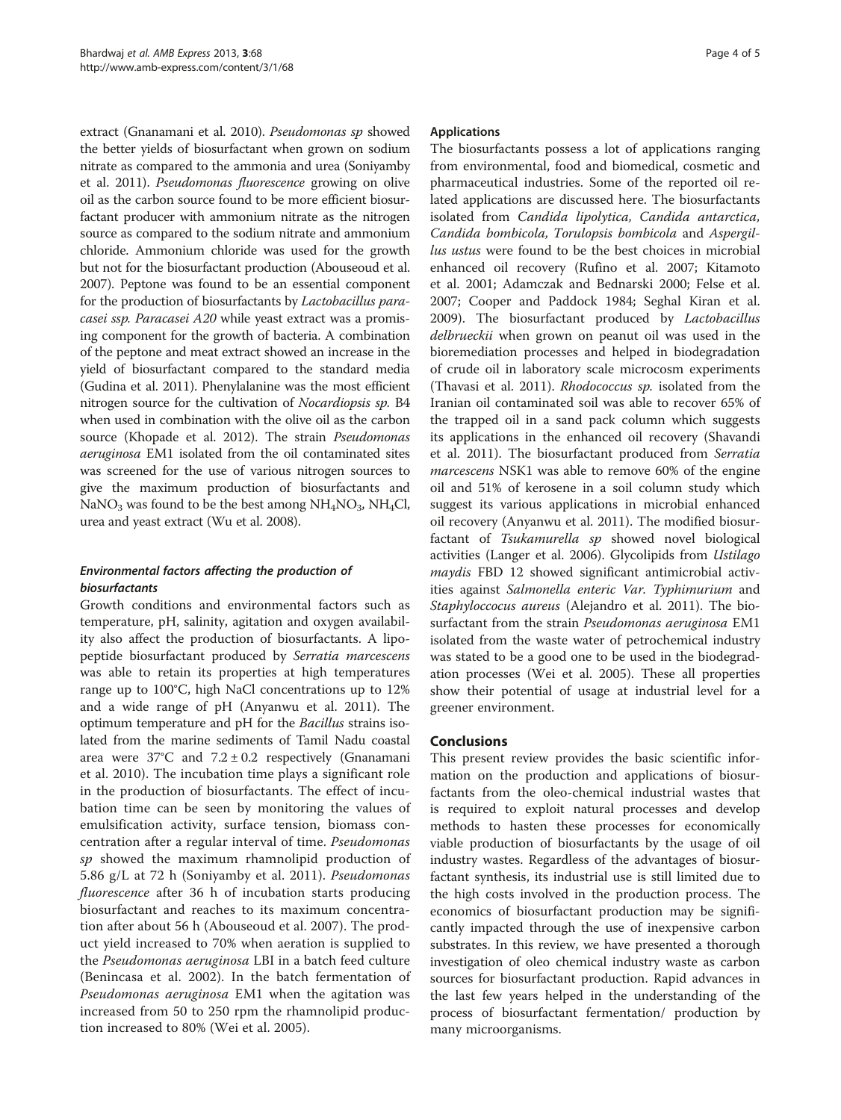extract (Gnanamani et al. [2010\)](#page-4-0). Pseudomonas sp showed the better yields of biosurfactant when grown on sodium nitrate as compared to the ammonia and urea (Soniyamby et al. [2011\)](#page-4-0). Pseudomonas fluorescence growing on olive oil as the carbon source found to be more efficient biosurfactant producer with ammonium nitrate as the nitrogen source as compared to the sodium nitrate and ammonium chloride. Ammonium chloride was used for the growth but not for the biosurfactant production (Abouseoud et al. [2007\)](#page-4-0). Peptone was found to be an essential component for the production of biosurfactants by Lactobacillus paracasei ssp. Paracasei A20 while yeast extract was a promising component for the growth of bacteria. A combination of the peptone and meat extract showed an increase in the yield of biosurfactant compared to the standard media (Gudina et al. [2011\)](#page-4-0). Phenylalanine was the most efficient nitrogen source for the cultivation of Nocardiopsis sp. B4 when used in combination with the olive oil as the carbon source (Khopade et al. [2012](#page-4-0)). The strain Pseudomonas aeruginosa EM1 isolated from the oil contaminated sites was screened for the use of various nitrogen sources to give the maximum production of biosurfactants and NaNO<sub>3</sub> was found to be the best among  $NH_4NO_3$ ,  $NH_4Cl$ , urea and yeast extract (Wu et al. [2008\)](#page-4-0).

## Environmental factors affecting the production of biosurfactants

Growth conditions and environmental factors such as temperature, pH, salinity, agitation and oxygen availability also affect the production of biosurfactants. A lipopeptide biosurfactant produced by Serratia marcescens was able to retain its properties at high temperatures range up to 100°C, high NaCl concentrations up to 12% and a wide range of pH (Anyanwu et al. [2011\)](#page-4-0). The optimum temperature and pH for the Bacillus strains isolated from the marine sediments of Tamil Nadu coastal area were  $37^{\circ}$ C and  $7.2 \pm 0.2$  respectively (Gnanamani et al. [2010\)](#page-4-0). The incubation time plays a significant role in the production of biosurfactants. The effect of incubation time can be seen by monitoring the values of emulsification activity, surface tension, biomass concentration after a regular interval of time. Pseudomonas sp showed the maximum rhamnolipid production of 5.86 g/L at 72 h (Soniyamby et al. [2011](#page-4-0)). Pseudomonas fluorescence after 36 h of incubation starts producing biosurfactant and reaches to its maximum concentration after about 56 h (Abouseoud et al. [2007](#page-4-0)). The product yield increased to 70% when aeration is supplied to the Pseudomonas aeruginosa LBI in a batch feed culture (Benincasa et al. [2002](#page-4-0)). In the batch fermentation of Pseudomonas aeruginosa EM1 when the agitation was increased from 50 to 250 rpm the rhamnolipid production increased to 80% (Wei et al. [2005](#page-4-0)).

## Applications

The biosurfactants possess a lot of applications ranging from environmental, food and biomedical, cosmetic and pharmaceutical industries. Some of the reported oil related applications are discussed here. The biosurfactants isolated from Candida lipolytica, Candida antarctica, Candida bombicola, Torulopsis bombicola and Aspergillus ustus were found to be the best choices in microbial enhanced oil recovery (Rufino et al. [2007](#page-4-0); Kitamoto et al. [2001;](#page-4-0) Adamczak and Bednarski [2000;](#page-4-0) Felse et al. [2007](#page-4-0); Cooper and Paddock [1984](#page-4-0); Seghal Kiran et al. [2009](#page-4-0)). The biosurfactant produced by Lactobacillus delbrueckii when grown on peanut oil was used in the bioremediation processes and helped in biodegradation of crude oil in laboratory scale microcosm experiments (Thavasi et al. [2011\)](#page-4-0). Rhodococcus sp. isolated from the Iranian oil contaminated soil was able to recover 65% of the trapped oil in a sand pack column which suggests its applications in the enhanced oil recovery (Shavandi et al. [2011](#page-4-0)). The biosurfactant produced from Serratia marcescens NSK1 was able to remove 60% of the engine oil and 51% of kerosene in a soil column study which suggest its various applications in microbial enhanced oil recovery (Anyanwu et al. [2011\)](#page-4-0). The modified biosurfactant of Tsukamurella sp showed novel biological activities (Langer et al. [2006](#page-4-0)). Glycolipids from Ustilago maydis FBD 12 showed significant antimicrobial activities against Salmonella enteric Var. Typhimurium and Staphyloccocus aureus (Alejandro et al. [2011\)](#page-4-0). The biosurfactant from the strain Pseudomonas aeruginosa EM1 isolated from the waste water of petrochemical industry was stated to be a good one to be used in the biodegradation processes (Wei et al. [2005\)](#page-4-0). These all properties show their potential of usage at industrial level for a greener environment.

## Conclusions

This present review provides the basic scientific information on the production and applications of biosurfactants from the oleo-chemical industrial wastes that is required to exploit natural processes and develop methods to hasten these processes for economically viable production of biosurfactants by the usage of oil industry wastes. Regardless of the advantages of biosurfactant synthesis, its industrial use is still limited due to the high costs involved in the production process. The economics of biosurfactant production may be significantly impacted through the use of inexpensive carbon substrates. In this review, we have presented a thorough investigation of oleo chemical industry waste as carbon sources for biosurfactant production. Rapid advances in the last few years helped in the understanding of the process of biosurfactant fermentation/ production by many microorganisms.